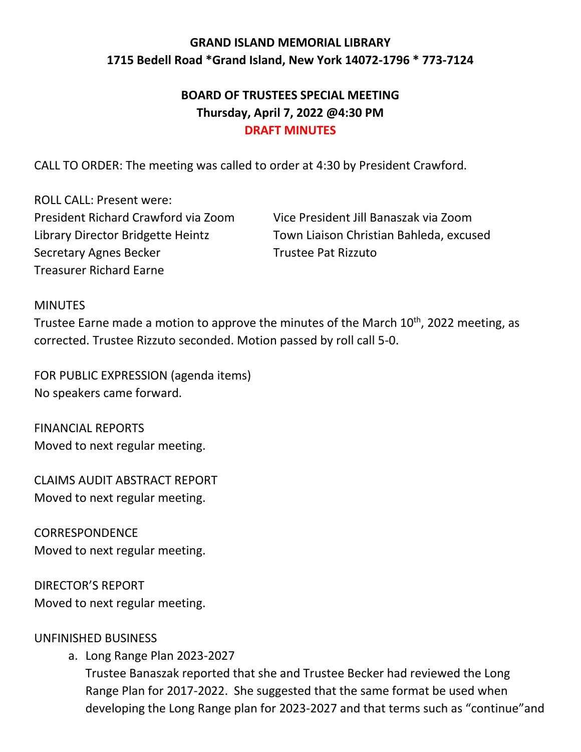# **GRAND ISLAND MEMORIAL LIBRARY 1715 Bedell Road \*Grand Island, New York 14072-1796 \* 773-7124**

## **BOARD OF TRUSTEES SPECIAL MEETING Thursday, April 7, 2022 @4:30 PM DRAFT MINUTES**

CALL TO ORDER: The meeting was called to order at 4:30 by President Crawford.

ROLL CALL: Present were: President Richard Crawford via Zoom Vice President Jill Banaszak via Zoom Secretary Agnes Becker Trustee Pat Rizzuto Treasurer Richard Earne

Library Director Bridgette Heintz Town Liaison Christian Bahleda, excused

#### MINUTES

Trustee Earne made a motion to approve the minutes of the March 10<sup>th</sup>, 2022 meeting, as corrected. Trustee Rizzuto seconded. Motion passed by roll call 5-0.

FOR PUBLIC EXPRESSION (agenda items) No speakers came forward.

FINANCIAL REPORTS Moved to next regular meeting.

CLAIMS AUDIT ABSTRACT REPORT Moved to next regular meeting.

**CORRESPONDENCE** Moved to next regular meeting.

DIRECTOR'S REPORT Moved to next regular meeting.

### UNFINISHED BUSINESS

a. Long Range Plan 2023-2027

Trustee Banaszak reported that she and Trustee Becker had reviewed the Long Range Plan for 2017-2022. She suggested that the same format be used when developing the Long Range plan for 2023-2027 and that terms such as "continue"and